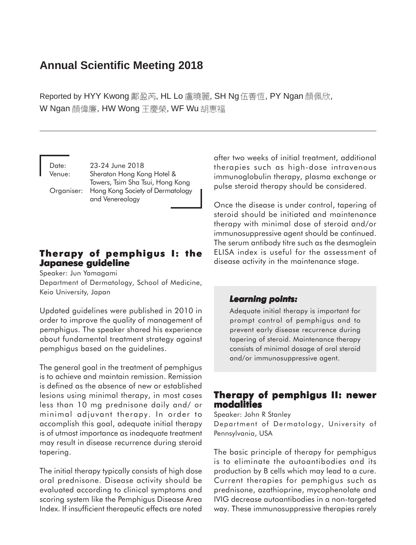# **Annual Scientific Meeting 2018**

Reported by HYY Kwong 鄺盈芮, HL Lo 盧曉麗, SH Ng 伍善恆, PY Ngan 顏佩欣, W Ngan 顏偉廉, HW Wong 王慶榮, WF Wu 胡惠福

Date: 23-24 June 2018 Venue: Sheraton Hong Kong Hotel & Towers, Tsim Sha Tsui, Hong Kong Organiser: Hong Kong Society of Dermatology and Venereology

# **Therapy of pemphigus I: the Japanese guideline Japanese guidelineJapanese guideline**

Speaker: Jun Yamagami

Department of Dermatology, School of Medicine, Keio University, Japan

Updated guidelines were published in 2010 in order to improve the quality of management of pemphigus. The speaker shared his experience about fundamental treatment strategy against pemphigus based on the guidelines.

The general goal in the treatment of pemphigus is to achieve and maintain remission. Remission is defined as the absence of new or established lesions using minimal therapy, in most cases less than 10 mg prednisone daily and/ or minimal adjuvant therapy. In order to accomplish this goal, adequate initial therapy is of utmost importance as inadequate treatment may result in disease recurrence during steroid tapering.

The initial therapy typically consists of high dose oral prednisone. Disease activity should be evaluated according to clinical symptoms and scoring system like the Pemphigus Disease Area Index. If insufficient therapeutic effects are noted after two weeks of initial treatment, additional therapies such as high-dose intravenous immunoglobulin therapy, plasma exchange or pulse steroid therapy should be considered.

Once the disease is under control, tapering of steroid should be initiated and maintenance therapy with minimal dose of steroid and/or immunosuppressive agent should be continued. The serum antibody titre such as the desmoglein ELISA index is useful for the assessment of disease activity in the maintenance stage.

#### Learning points:

Adequate initial therapy is important for prompt control of pemphigus and to prevent early disease recurrence during tapering of steroid. Maintenance therapy consists of minimal dosage of oral steroid and/or immunosuppressive agent.

# **Therapy of pemphigus II: newer modalities**

Speaker: John R Stanley Department of Dermatology, University of Pennsylvania, USA

The basic principle of therapy for pemphigus is to eliminate the autoantibodies and its production by B cells which may lead to a cure. Current therapies for pemphigus such as prednisone, azathioprine, mycophenolate and IVIG decrease autoantibodies in a non-targeted way. These immunosuppressive therapies rarely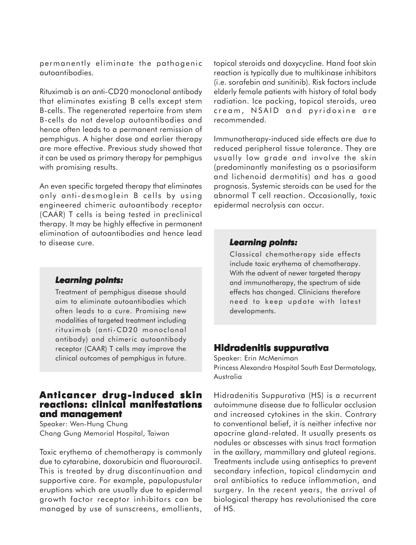permanently eliminate the pathogenic autoantibodies.

Rituximab is an anti-CD20 monoclonal antibody that eliminates existing B cells except stem B-cells. The regenerated repertoire from stem B-cells do not develop autoantibodies and hence often leads to a permanent remission of pemphigus. A higher dose and earlier therapy are more effective. Previous study showed that it can be used as primary therapy for pemphigus with promising results.

An even specific targeted therapy that eliminates only anti-desmoglein B cells by using engineered chimeric autoantibody receptor (CAAR) T cells is being tested in preclinical therapy. It may be highly effective in permanent elimination of autoantibodies and hence lead to disease cure.

#### *Learning points: Learning*

Treatment of pemphigus disease should aim to eliminate autoantibodies which often leads to a cure. Promising new modalities of targeted treatment including rituximab (anti-CD20 monoclonal antibody) and chimeric autoantibody receptor (CAAR) T cells may improve the clinical outcomes of pemphigus in future.

### **Anticancer drug-induced skin reactions: clinical manifestations and management and management**

Speaker: Wen-Hung Chung Chang Gung Memorial Hospital, Taiwan

Toxic erythema of chemotherapy is commonly due to cytarabine, doxorubicin and fluorouracil. This is treated by drug discontinuation and supportive care. For example, papulopustular eruptions which are usually due to epidermal growth factor receptor inhibitors can be managed by use of sunscreens, emollients, topical steroids and doxycycline. Hand foot skin reaction is typically due to multikinase inhibitors (i.e. sorafebin and sunitinib). Risk factors include elderly female patients with history of total body radiation. Ice packing, topical steroids, urea cream, NSAID and pyridoxine are recommended.

Immunotherapy-induced side effects are due to reduced peripheral tissue tolerance. They are usually low grade and involve the skin (predominantly manifesting as a psoriasiform and lichenoid dermatitis) and has a good prognosis. Systemic steroids can be used for the abnormal T cell reaction. Occasionally, toxic epidermal necrolysis can occur.

#### *Learning points: Learning points:*

Classical chemotherapy side effects include toxic erythema of chemotherapy. With the advent of newer targeted therapy and immunotherapy, the spectrum of side effects has changed. Clinicians therefore need to keep update with latest developments.

# **Hidradenitis suppurativa**

Speaker: Erin McMeniman Princess Alexandra Hospital South East Dermatology, Australia

Hidradenitis Suppurativa (HS) is a recurrent autoimmune disease due to follicular occlusion and increased cytokines in the skin. Contrary to conventional belief, it is neither infective nor apocrine gland-related. It usually presents as nodules or abscesses with sinus tract formation in the axillary, mammillary and gluteal regions. Treatments include using antiseptics to prevent secondary infection, topical clindamycin and oral antibiotics to reduce inflammation, and surgery. In the recent years, the arrival of biological therapy has revolutionised the care of HS.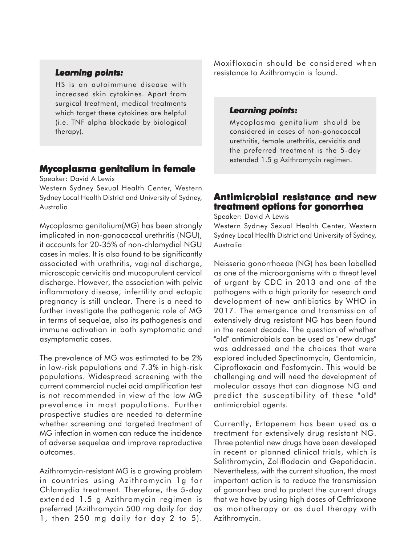#### *Learning points: Learning*

HS is an autoimmune disease with increased skin cytokines. Apart from surgical treatment, medical treatments which target these cytokines are helpful (i.e. TNF alpha blockade by biological therapy).

#### **Mycoplasma genitalium in female**

Speaker: David A Lewis

Western Sydney Sexual Health Center, Western Sydney Local Health District and University of Sydney, Australia

Mycoplasma genitalium(MG) has been strongly implicated in non-gonococcal urethritis (NGU), it accounts for 20-35% of non-chlamydial NGU cases in males. It is also found to be significantly associated with urethritis, vaginal discharge, microscopic cervicitis and mucopurulent cervical discharge. However, the association with pelvic inflammatory disease, infertility and ectopic pregnancy is still unclear. There is a need to further investigate the pathogenic role of MG in terms of sequelae, also its pathogenesis and immune activation in both symptomatic and asymptomatic cases.

The prevalence of MG was estimated to be 2% in low-risk populations and 7.3% in high-risk populations. Widespread screening with the current commercial nuclei acid amplification test is not recommended in view of the low MG prevalence in most populations. Further prospective studies are needed to determine whether screening and targeted treatment of MG infection in women can reduce the incidence of adverse sequelae and improve reproductive outcomes.

Azithromycin-resistant MG is a growing problem in countries using Azithromycin 1g for Chlamydia treatment. Therefore, the 5-day extended 1.5 g Azithromycin regimen is preferred (Azithromycin 500 mg daily for day 1, then 250 mg daily for day 2 to 5). Moxifloxacin should be considered when resistance to Azithromycin is found.

#### *Learning points: Learning points:*

Mycoplasma genitalium should be considered in cases of non-gonococcal urethritis, female urethritis, cervicitis and the preferred treatment is the 5-day extended 1.5 g Azithromycin regimen.

# **Antimicrobial resistance and new treatment options for gonorrhea**

Speaker: David A Lewis

Western Sydney Sexual Health Center, Western Sydney Local Health District and University of Sydney, Australia

Neisseria gonorrhoeae (NG) has been labelled as one of the microorganisms with a threat level of urgent by CDC in 2013 and one of the pathogens with a high priority for research and development of new antibiotics by WHO in 2017. The emergence and transmission of extensively drug resistant NG has been found in the recent decade. The question of whether "old" antimicrobials can be used as "new drugs" was addressed and the choices that were explored included Spectinomycin, Gentamicin, Ciprofloxacin and Fosfomycin. This would be challenging and will need the development of molecular assays that can diagnose NG and predict the susceptibility of these "old" antimicrobial agents.

Currently, Ertapenem has been used as a treatment for extensively drug resistant NG. Three potential new drugs have been developed in recent or planned clinical trials, which is Solithromycin, Zoliflodacin and Gepotidacin. Nevertheless, with the current situation, the most important action is to reduce the transmission of gonorrhea and to protect the current drugs that we have by using high doses of Ceftriaxone as monotherapy or as dual therapy with Azithromycin.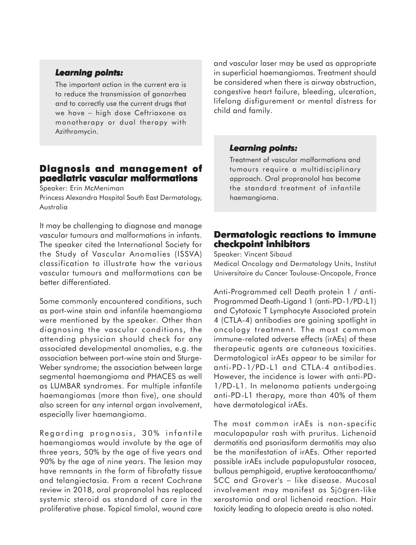#### *Learning points: Learning*

The important action in the current era is to reduce the transmission of gonorrhea and to correctly use the current drugs that we have − high dose Ceftriaxone as monotherapy or dual therapy with Azithromycin.

# **Diagnosis and management of Diagnosis and management of paediatric vascular malformations**

Speaker: Erin McMeniman

Princess Alexandra Hospital South East Dermatology, Australia

It may be challenging to diagnose and manage vascular tumours and malformations in infants. The speaker cited the International Society for the Study of Vascular Anomalies (ISSVA) classification to illustrate how the various vascular tumours and malformations can be better differentiated.

Some commonly encountered conditions, such as port-wine stain and infantile haemangioma were mentioned by the speaker. Other than diagnosing the vascular conditions, the attending physician should check for any associated developmental anomalies, e.g. the association between port-wine stain and Sturge-Weber syndrome; the association between large segmental haemangioma and PHACES as well as LUMBAR syndromes. For multiple infantile haemangiomas (more than five), one should also screen for any internal organ involvement, especially liver haemangioma.

Regarding prognosis, 30% infantile haemangiomas would involute by the age of three years, 50% by the age of five years and 90% by the age of nine years. The lesion may have remnants in the form of fibrofatty tissue and telangiectasia. From a recent Cochrane review in 2018, oral propranolol has replaced systemic steroid as standard of care in the proliferative phase. Topical timolol, wound care

and vascular laser may be used as appropriate in superficial haemangiomas. Treatment should be considered when there is airway obstruction, congestive heart failure, bleeding, ulceration, lifelong disfigurement or mental distress for child and family.

#### *Learning points: Learning points:*

Treatment of vascular malformations and tumours require a multidisciplinary approach. Oral propranolol has become the standard treatment of infantile haemangioma.

# **Dermatologic reactions to immune checkpoint inhibitors**

Speaker: Vincent Sibaud

Medical Oncology and Dermatology Units, Institut Universitaire du Cancer Toulouse-Oncopole, France

Anti-Programmed cell Death protein 1 / anti-Programmed Death-Ligand 1 (anti-PD-1/PD-L1) and Cytotoxic T Lymphocyte Associated protein 4 (CTLA-4) antibodies are gaining spotlight in oncology treatment. The most common immune-related adverse effects (irAEs) of these therapeutic agents are cutaneous toxicities. Dermatological irAEs appear to be similar for anti-PD-1/PD-L1 and CTLA-4 antibodies. However, the incidence is lower with anti-PD-1/PD-L1. In melanoma patients undergoing anti-PD-L1 therapy, more than 40% of them have dermatological irAEs.

The most common irAEs is non-specific maculopapular rash with pruritus. Lichenoid dermatitis and psoriasiform dermatitis may also be the manifestation of irAEs. Other reported possible irAEs include papulopustular rosacea, bullous pemphigoid, eruptive keratoacanthoma/ SCC and Grover's - like disease. Mucosal involvement may manifest as SjÖgren-like xerostomia and oral lichenoid reaction. Hair toxicity leading to alopecia areata is also noted.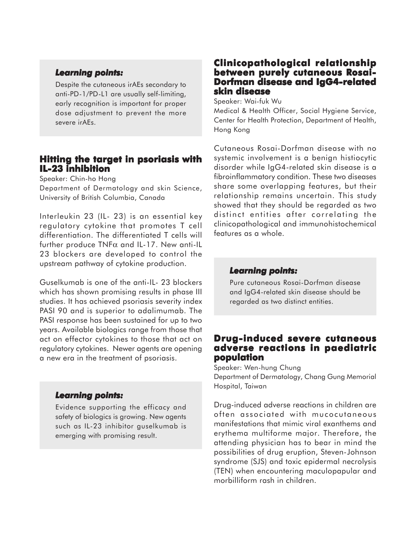#### *Learning points: Learning*

Despite the cutaneous irAEs secondary to anti-PD-1/PD-L1 are usually self-limiting, early recognition is important for proper dose adjustment to prevent the more severe irAEs.

# **Hitting the target in psoriasis with IL-23 inhibition**

Speaker: Chin-ho Hong

Department of Dermatology and skin Science, University of British Columbia, Canada

Interleukin 23 (IL- 23) is an essential key regulatory cytokine that promotes T cell differentiation. The differentiated T cells will further produce TNFα and IL-17. New anti-IL 23 blockers are developed to control the upstream pathway of cytokine production.

Guselkumab is one of the anti-IL- 23 blockers which has shown promising results in phase III studies. It has achieved psoriasis severity index PASI 90 and is superior to adalimumab. The PASI response has been sustained for up to two years. Available biologics range from those that act on effector cytokines to those that act on regulatory cytokines. Newer agents are opening a new era in the treatment of psoriasis.

#### *Learning points: Learning*

Evidence supporting the efficacy and safety of biologics is growing. New agents such as IL-23 inhibitor guselkumab is emerging with promising result.

### **Clinicopathological relationship between purely cutaneous Rosai-Dorfman disease and IgG4-related skin disease**

Speaker: Wai-fuk Wu

Medical & Health Officer, Social Hygiene Service, Center for Health Protection, Department of Health, Hong Kong

Cutaneous Rosai-Dorfman disease with no systemic involvement is a benign histiocytic disorder while IgG4-related skin disease is a fibroinflammatory condition. These two diseases share some overlapping features, but their relationship remains uncertain. This study showed that they should be regarded as two distinct entities after correlating the clinicopathological and immunohistochemical features as a whole.

#### *Learning points: Learning points:*

Pure cutaneous Rosai-Dorfman disease and IgG4-related skin disease should be regarded as two distinct entities.

# **Drug-induced severe cutaneous adverse reactions in paediatric population**

Speaker: Wen-hung Chung Department of Dermatology, Chang Gung Memorial Hospital, Taiwan

Drug-induced adverse reactions in children are often associated with mucocutaneous manifestations that mimic viral exanthems and erythema multiforme major. Therefore, the attending physician has to bear in mind the possibilities of drug eruption, Steven-Johnson syndrome (SJS) and toxic epidermal necrolysis (TEN) when encountering maculopapular and morbilliform rash in children.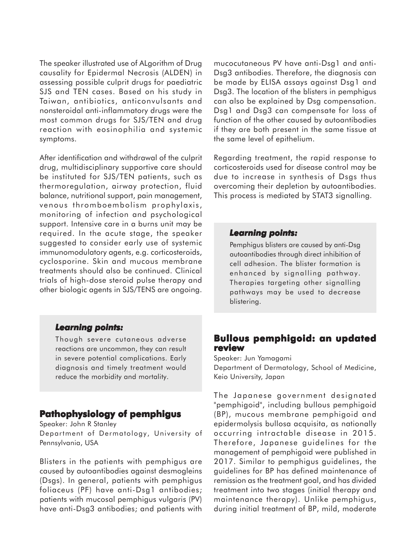The speaker illustrated use of ALgorithm of Drug causality for Epidermal Necrosis (ALDEN) in assessing possible culprit drugs for paediatric SJS and TEN cases. Based on his study in Taiwan, antibiotics, anticonvulsants and nonsteroidal anti-inflammatory drugs were the most common drugs for SJS/TEN and drug reaction with eosinophilia and systemic symptoms.

After identification and withdrawal of the culprit drug, multidisciplinary supportive care should be instituted for SJS/TEN patients, such as thermoregulation, airway protection, fluid balance, nutritional support, pain management, venous thromboembolism prophylaxis, monitoring of infection and psychological support. Intensive care in a burns unit may be required. In the acute stage, the speaker suggested to consider early use of systemic immunomodulatory agents, e.g. corticosteroids, cyclosporine. Skin and mucous membrane treatments should also be continued. Clinical trials of high-dose steroid pulse therapy and other biologic agents in SJS/TENS are ongoing.

#### *Learning points: Learning*

Though severe cutaneous adverse reactions are uncommon, they can result in severe potential complications. Early diagnosis and timely treatment would reduce the morbidity and mortality.

# **Pathophysiology of pemphigus**

Speaker: John R Stanley

Department of Dermatology, University of Pennsylvania, USA

Blisters in the patients with pemphigus are caused by autoantibodies against desmogleins (Dsgs). In general, patients with pemphigus foliaceus (PF) have anti-Dsg1 antibodies; patients with mucosal pemphigus vulgaris (PV) have anti-Dsg3 antibodies; and patients with mucocutaneous PV have anti-Dsg1 and anti-Dsg3 antibodies. Therefore, the diagnosis can be made by ELISA assays against Dsg1 and Dsg3. The location of the blisters in pemphigus can also be explained by Dsg compensation. Dsg1 and Dsg3 can compensate for loss of function of the other caused by autoantibodies if they are both present in the same tissue at the same level of epithelium.

Regarding treatment, the rapid response to corticosteroids used for disease control may be due to increase in synthesis of Dsgs thus overcoming their depletion by autoantibodies. This process is mediated by STAT3 signalling.

#### *Learning points: Learning points:*

Pemphigus blisters are caused by anti-Dsg autoantibodies through direct inhibition of cell adhesion. The blister formation is enhanced by signalling pathway. Therapies targeting other signalling pathways may be used to decrease blistering.

# **Bullous pemphigoid: an updated review**

Speaker: Jun Yamagami Department of Dermatology, School of Medicine, Keio University, Japan

The Japanese government designated "pemphigoid", including bullous pemphigoid (BP), mucous membrane pemphigoid and epidermolysis bullosa acquisita, as nationally occurring intractable disease in 2015. Therefore, Japanese guidelines for the management of pemphigoid were published in 2017. Similar to pemphigus guidelines, the guidelines for BP has defined maintenance of remission as the treatment goal, and has divided treatment into two stages (initial therapy and maintenance therapy). Unlike pemphigus, during initial treatment of BP, mild, moderate